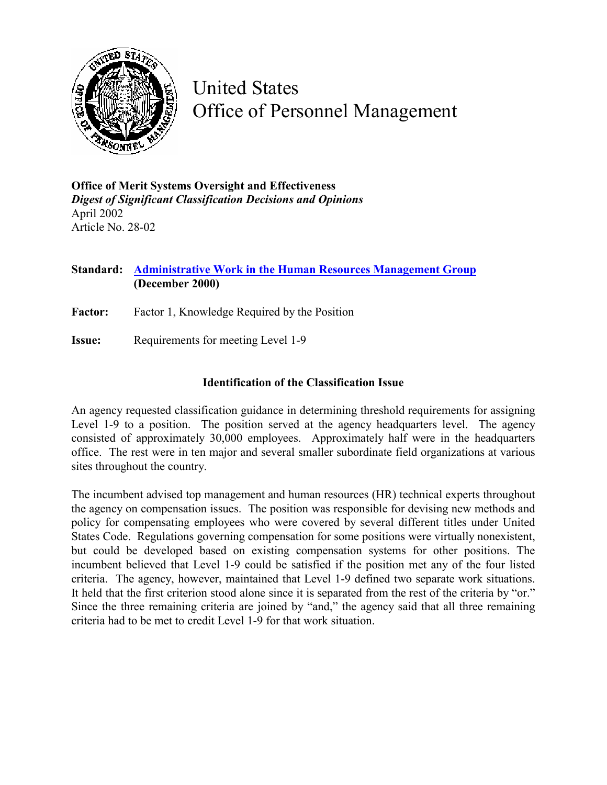

United States Office of Personnel Management

**Office of Merit Systems Oversight and Effectiveness**  *Digest of Significant Classification Decisions and Opinions* April 2002 Article No. 28-02

## **Standard: [Administrative Work in the Human Resources Management Group](http://www.opm.gov/fedclass/gs0200a.pdf)  (December 2000)**

Factor: Factor 1, Knowledge Required by the Position

**Issue:** Requirements for meeting Level 1-9

## **Identification of the Classification Issue**

An agency requested classification guidance in determining threshold requirements for assigning Level 1-9 to a position. The position served at the agency headquarters level. The agency consisted of approximately 30,000 employees. Approximately half were in the headquarters office. The rest were in ten major and several smaller subordinate field organizations at various sites throughout the country.

The incumbent advised top management and human resources (HR) technical experts throughout the agency on compensation issues. The position was responsible for devising new methods and policy for compensating employees who were covered by several different titles under United States Code. Regulations governing compensation for some positions were virtually nonexistent, but could be developed based on existing compensation systems for other positions. The incumbent believed that Level 1-9 could be satisfied if the position met any of the four listed criteria. The agency, however, maintained that Level 1-9 defined two separate work situations. It held that the first criterion stood alone since it is separated from the rest of the criteria by "or." Since the three remaining criteria are joined by "and," the agency said that all three remaining criteria had to be met to credit Level 1-9 for that work situation.